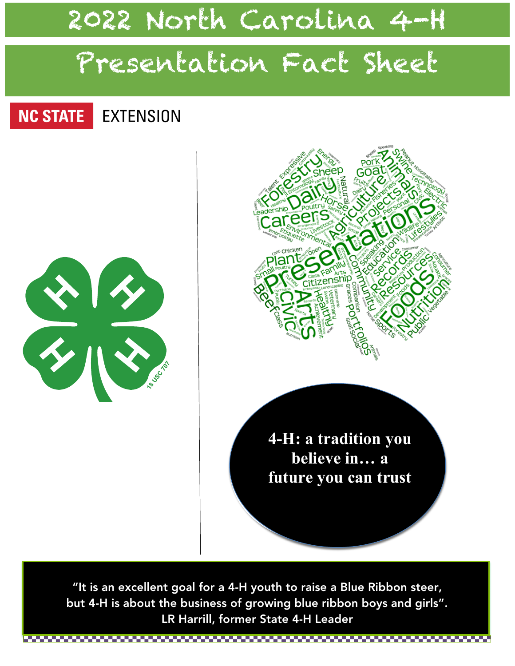# 2022 North Carolina 4-H

# Presentation Fact Sheet

#### **NC STATE EXTENSION**





**4-H: a tradition you believe in… a future you can trust**

"It is an excellent goal for a 4-H youth to raise a Blue Ribbon steer, but 4-H is about the business of growing blue ribbon boys and girls". LR Harrill, former State 4-H Leader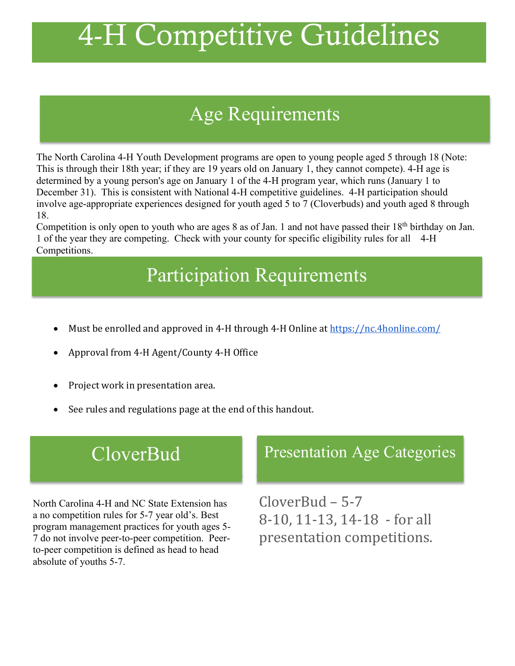# 4-H Competitive Guidelines

# Age Categories Age Requirements

The North Carolina 4-H Youth Development programs are open to young people aged 5 through 18 (Note: This is through their 18th year; if they are 19 years old on January 1, they cannot compete). 4-H age is determined by a young person's age on January 1 of the 4-H program year, which runs (January 1 to December 31). This is consistent with National 4-H competitive guidelines. 4-H participation should involve age-appropriate experiences designed for youth aged 5 to 7 (Cloverbuds) and youth aged 8 through 18.

Competition is only open to youth who are ages 8 as of Jan. 1 and not have passed their 18<sup>th</sup> birthday on Jan. 1 of the year they are competing. Check with your county for specific eligibility rules for all 4-H Competitions.

# Participation Requirements

- Must be enrolled and approved in 4-H through 4-H Online at https://nc.4honline.com/
- Approval from 4-H Agent/County 4-H Office
- Project work in presentation area.
- See rules and regulations page at the end of this handout.

# **CloverBud**

North Carolina 4-H and NC State Extension has a no competition rules for 5-7 year old's. Best program management practices for youth ages 5- 7 do not involve peer-to-peer competition. Peerto-peer competition is defined as head to head absolute of youths 5-7.

# Presentation Age Categories

 $CloverBud - 5-7$ 8-10, 11-13, 14-18 - for all presentation competitions.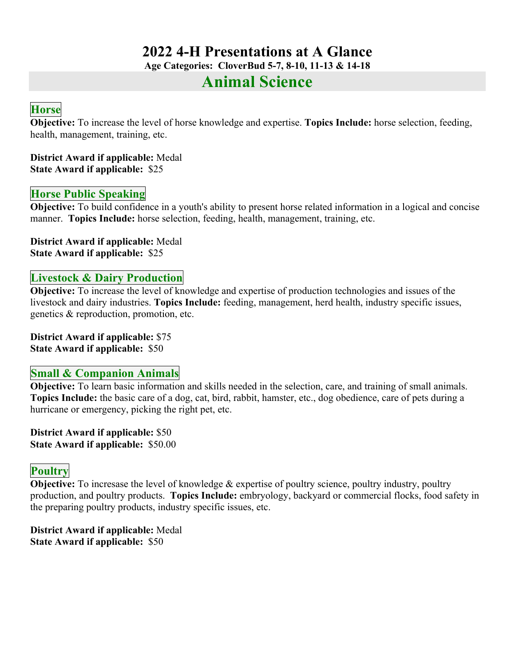### **2022 4-H Presentations at A Glance**

**Age Categories: CloverBud 5-7, 8-10, 11-13 & 14-18**

### **Animal Science**

#### **Horse**

**Objective:** To increase the level of horse knowledge and expertise. **Topics Include:** horse selection, feeding, health, management, training, etc.

**District Award if applicable:** Medal **State Award if applicable:** \$25

#### **Horse Public Speaking**

**Objective:** To build confidence in a youth's ability to present horse related information in a logical and concise manner. **Topics Include:** horse selection, feeding, health, management, training, etc.

**District Award if applicable:** Medal **State Award if applicable:** \$25

#### **Livestock & Dairy Production**

**Objective:** To increase the level of knowledge and expertise of production technologies and issues of the livestock and dairy industries. **Topics Include:** feeding, management, herd health, industry specific issues, genetics & reproduction, promotion, etc.

**District Award if applicable:** \$75 **State Award if applicable:** \$50

#### **Small & Companion Animals**

**Objective:** To learn basic information and skills needed in the selection, care, and training of small animals. **Topics Include:** the basic care of a dog, cat, bird, rabbit, hamster, etc., dog obedience, care of pets during a hurricane or emergency, picking the right pet, etc.

**District Award if applicable:** \$50 **State Award if applicable:** \$50.00

#### **Poultry**

**Objective:** To incresase the level of knowledge & expertise of poultry science, poultry industry, poultry production, and poultry products. **Topics Include:** embryology, backyard or commercial flocks, food safety in the preparing poultry products, industry specific issues, etc.

**District Award if applicable:** Medal **State Award if applicable:** \$50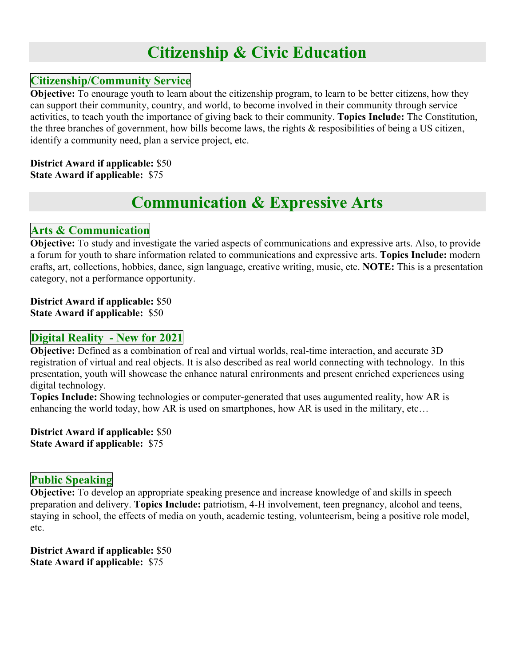# **Citizenship & Civic Education**

#### **Citizenship/Community Service**

**Objective:** To enourage youth to learn about the citizenship program, to learn to be better citizens, how they can support their community, country, and world, to become involved in their community through service activities, to teach youth the importance of giving back to their community. **Topics Include:** The Constitution, the three branches of government, how bills become laws, the rights & resposibilities of being a US citizen, identify a community need, plan a service project, etc.

#### **District Award if applicable:** \$50 **State Award if applicable:** \$75

# **Communication & Expressive Arts**

#### **Arts & Communication**

**Objective:** To study and investigate the varied aspects of communications and expressive arts. Also, to provide a forum for youth to share information related to communications and expressive arts. **Topics Include:** modern crafts, art, collections, hobbies, dance, sign language, creative writing, music, etc. **NOTE:** This is a presentation category, not a performance opportunity.

**District Award if applicable:** \$50 **State Award if applicable:** \$50

#### **Digital Reality - New for 2021**

**Objective:** Defined as a combination of real and virtual worlds, real-time interaction, and accurate 3D registration of virtual and real objects. It is also described as real world connecting with technology. In this presentation, youth will showcase the enhance natural enrironments and present enriched experiences using digital technology.

**Topics Include:** Showing technologies or computer-generated that uses augumented reality, how AR is enhancing the world today, how AR is used on smartphones, how AR is used in the military, etc…

**District Award if applicable:** \$50 **State Award if applicable:** \$75

#### **Public Speaking**

**Objective:** To develop an appropriate speaking presence and increase knowledge of and skills in speech preparation and delivery. **Topics Include:** patriotism, 4-H involvement, teen pregnancy, alcohol and teens, staying in school, the effects of media on youth, academic testing, volunteerism, being a positive role model, etc.

**District Award if applicable:** \$50 **State Award if applicable:** \$75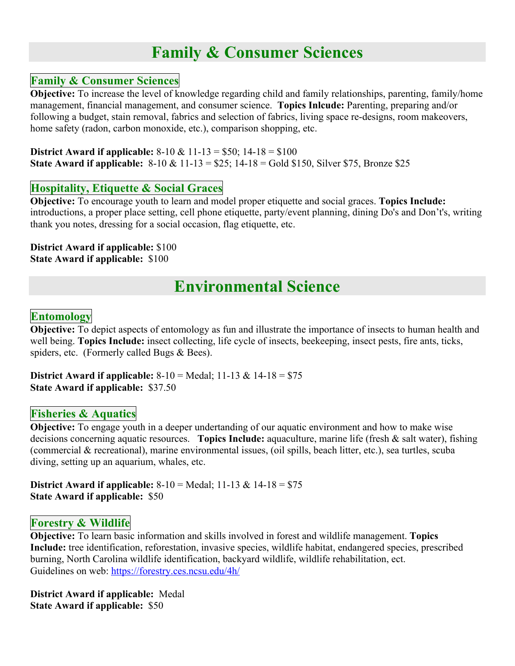### **Family & Consumer Sciences**

#### **Family & Consumer Sciences**

**Objective:** To increase the level of knowledge regarding child and family relationships, parenting, family/home management, financial management, and consumer science. **Topics Inlcude:** Parenting, preparing and/or following a budget, stain removal, fabrics and selection of fabrics, living space re-designs, room makeovers, home safety (radon, carbon monoxide, etc.), comparison shopping, etc.

**District Award if applicable:** 8-10 & 11-13 = \$50; 14-18 = \$100 **State Award if applicable:** 8-10 & 11-13 = \$25; 14-18 = Gold \$150, Silver \$75, Bronze \$25

#### **Hospitality, Etiquette & Social Graces**

**Objective:** To encourage youth to learn and model proper etiquette and social graces. **Topics Include:** introductions, a proper place setting, cell phone etiquette, party/event planning, dining Do's and Don't's, writing thank you notes, dressing for a social occasion, flag etiquette, etc.

**District Award if applicable:** \$100 **State Award if applicable:** \$100

## **Environmental Science**

#### **Entomology**

**Objective:** To depict aspects of entomology as fun and illustrate the importance of insects to human health and well being. **Topics Include:** insect collecting, life cycle of insects, beekeeping, insect pests, fire ants, ticks, spiders, etc. (Formerly called Bugs & Bees).

**District Award if applicable:** 8-10 = Medal; 11-13 & 14-18 = \$75 **State Award if applicable:** \$37.50

#### **Fisheries & Aquatics**

**Objective:** To engage youth in a deeper undertanding of our aquatic environment and how to make wise decisions concerning aquatic resources. **Topics Include:** aquaculture, marine life (fresh & salt water), fishing (commercial & recreational), marine environmental issues, (oil spills, beach litter, etc.), sea turtles, scuba diving, setting up an aquarium, whales, etc.

**District Award if applicable:** 8-10 = Medal; 11-13 & 14-18 = \$75 **State Award if applicable:** \$50

#### **Forestry & Wildlife**

**Objective:** To learn basic information and skills involved in forest and wildlife management. **Topics Include:** tree identification, reforestation, invasive species, wildlife habitat, endangered species, prescribed burning, North Carolina wildlife identification, backyard wildlife, wildlife rehabilitation, ect. Guidelines on web: https://forestry.ces.ncsu.edu/4h/

**District Award if applicable:** Medal **State Award if applicable:** \$50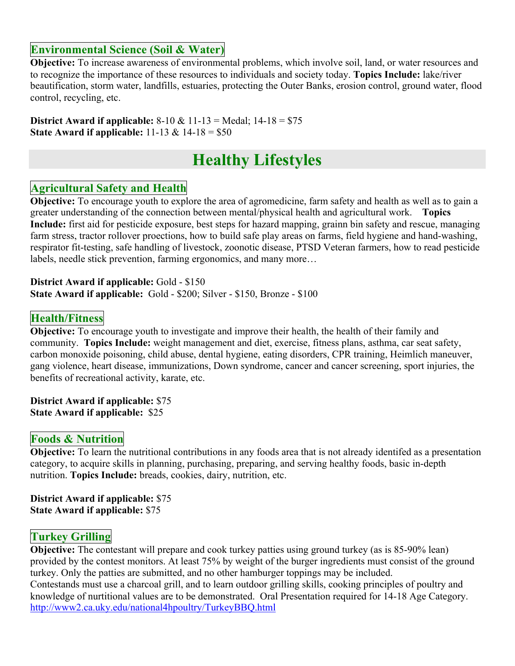#### **Environmental Science (Soil & Water)**

**Objective:** To increase awareness of environmental problems, which involve soil, land, or water resources and to recognize the importance of these resources to individuals and society today. **Topics Include:** lake/river beautification, storm water, landfills, estuaries, protecting the Outer Banks, erosion control, ground water, flood control, recycling, etc.

**District Award if applicable:** 8-10 & 11-13 = Medal; 14-18 = \$75 **State Award if applicable:** 11-13 & 14-18 = \$50

# **Healthy Lifestyles**

#### **Agricultural Safety and Health**

**Objective:** To encourage youth to explore the area of agromedicine, farm safety and health as well as to gain a greater understanding of the connection between mental/physical health and agricultural work. **Topics Include:** first aid for pesticide exposure, best steps for hazard mapping, grainn bin safety and rescue, managing farm stress, tractor rollover proections, how to build safe play areas on farms, field hygiene and hand-washing, respirator fit-testing, safe handling of livestock, zoonotic disease, PTSD Veteran farmers, how to read pesticide labels, needle stick prevention, farming ergonomics, and many more…

**District Award if applicable:** Gold - \$150 **State Award if applicable:** Gold - \$200; Silver - \$150, Bronze - \$100

#### **Health/Fitness**

**Objective:** To encourage youth to investigate and improve their health, the health of their family and community. **Topics Include:** weight management and diet, exercise, fitness plans, asthma, car seat safety, carbon monoxide poisoning, child abuse, dental hygiene, eating disorders, CPR training, Heimlich maneuver, gang violence, heart disease, immunizations, Down syndrome, cancer and cancer screening, sport injuries, the benefits of recreational activity, karate, etc.

**District Award if applicable:** \$75 **State Award if applicable:** \$25

#### **Foods & Nutrition**

**Objective:** To learn the nutritional contributions in any foods area that is not already identifed as a presentation category, to acquire skills in planning, purchasing, preparing, and serving healthy foods, basic in-depth nutrition. **Topics Include:** breads, cookies, dairy, nutrition, etc.

**District Award if applicable:** \$75 **State Award if applicable:** \$75

#### **Turkey Grilling**

**Objective:** The contestant will prepare and cook turkey patties using ground turkey (as is 85-90% lean) provided by the contest monitors. At least 75% by weight of the burger ingredients must consist of the ground turkey. Only the patties are submitted, and no other hamburger toppings may be included. Contestands must use a charcoal grill, and to learn outdoor grilling skills, cooking principles of poultry and knowledge of nurtitional values are to be demonstrated. Oral Presentation required for 14-18 Age Category. http://www2.ca.uky.edu/national4hpoultry/TurkeyBBQ.html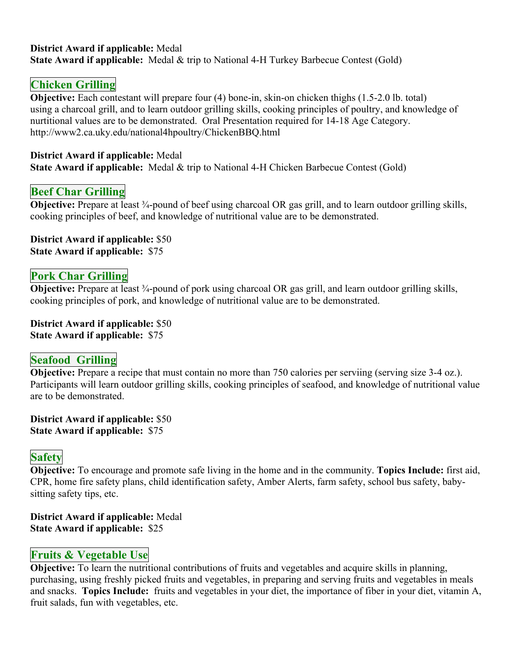#### **District Award if applicable:** Medal **State Award if applicable:** Medal & trip to National 4-H Turkey Barbecue Contest (Gold)

#### **Chicken Grilling**

**Objective:** Each contestant will prepare four (4) bone-in, skin-on chicken thighs (1.5-2.0 lb. total) using a charcoal grill, and to learn outdoor grilling skills, cooking principles of poultry, and knowledge of nurtitional values are to be demonstrated. Oral Presentation required for 14-18 Age Category. http://www2.ca.uky.edu/national4hpoultry/ChickenBBQ.html

#### **District Award if applicable:** Medal

**State Award if applicable:** Medal & trip to National 4-H Chicken Barbecue Contest (Gold)

#### **Beef Char Grilling**

**Objective:** Prepare at least <sup>3</sup>/4-pound of beef using charcoal OR gas grill, and to learn outdoor grilling skills, cooking principles of beef, and knowledge of nutritional value are to be demonstrated.

**District Award if applicable:** \$50 **State Award if applicable:** \$75

#### **Pork Char Grilling**

**Objective:** Prepare at least ¾-pound of pork using charcoal OR gas grill, and learn outdoor grilling skills, cooking principles of pork, and knowledge of nutritional value are to be demonstrated.

**District Award if applicable:** \$50 **State Award if applicable:** \$75

#### **Seafood Grilling**

**Objective:** Prepare a recipe that must contain no more than 750 calories per serviing (serving size 3-4 oz.). Participants will learn outdoor grilling skills, cooking principles of seafood, and knowledge of nutritional value are to be demonstrated.

**District Award if applicable:** \$50 **State Award if applicable:** \$75

#### **Safety**

**Objective:** To encourage and promote safe living in the home and in the community. **Topics Include:** first aid, CPR, home fire safety plans, child identification safety, Amber Alerts, farm safety, school bus safety, babysitting safety tips, etc.

**District Award if applicable:** Medal **State Award if applicable:** \$25

#### **Fruits & Vegetable Use**

**Objective:** To learn the nutritional contributions of fruits and vegetables and acquire skills in planning, purchasing, using freshly picked fruits and vegetables, in preparing and serving fruits and vegetables in meals and snacks. **Topics Include:** fruits and vegetables in your diet, the importance of fiber in your diet, vitamin A, fruit salads, fun with vegetables, etc.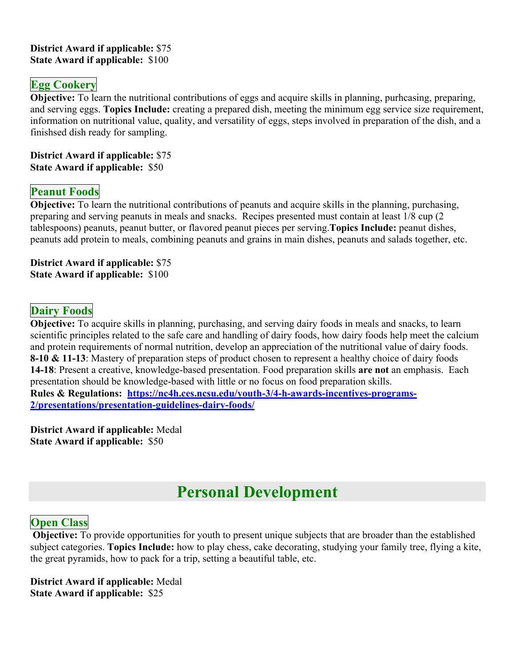#### **District Award if applicable:** \$75 **State Award if applicable:** \$100

#### **Egg Cookery**

**Objective:** To learn the nutritional contributions of eggs and acquire skills in planning, purhcasing, preparing, and serving eggs. **Topics Include:** creating a prepared dish, meeting the minimum egg service size requirement, information on nutritional value, quality, and versatility of eggs, steps involved in preparation of the dish, and a finishsed dish ready for sampling.

**District Award if applicable:** \$75 **State Award if applicable:** \$50

#### **Peanut Foods**

**Objective:** To learn the nutritional contributions of peanuts and acquire skills in the planning, purchasing, preparing and serving peanuts in meals and snacks. Recipes presented must contain at least 1/8 cup (2 tablespoons) peanuts, peanut butter, or flavored peanut pieces per serving.**Topics Include:** peanut dishes, peanuts add protein to meals, combining peanuts and grains in main dishes, peanuts and salads together, etc.

**District Award if applicable:** \$75 **State Award if applicable:** \$100

#### **Dairy Foods**

**Objective:** To acquire skills in planning, purchasing, and serving dairy foods in meals and snacks, to learn scientific principles related to the safe care and handling of dairy foods, how dairy foods help meet the calcium and protein requirements of normal nutrition, develop an appreciation of the nutritional value of dairy foods. **8-10 & 11-13**: Mastery of preparation steps of product chosen to represent a healthy choice of dairy foods **14-18**: Present a creative, knowledge-based presentation. Food preparation skills **are not** an emphasis. Each presentation should be knowledge-based with little or no focus on food preparation skills. **Rules & Regulations: https://nc4h.ces.ncsu.edu/youth-3/4-h-awards-incentives-programs-2/presentations/presentation-guidelines-dairy-foods/**

**District Award if applicable:** Medal **State Award if applicable:** \$50

# **Personal Development**

#### **Open Class**

**Objective:** To provide opportunities for youth to present unique subjects that are broader than the established subject categories. **Topics Include:** how to play chess, cake decorating, studying your family tree, flying a kite, the great pyramids, how to pack for a trip, setting a beautiful table, etc.

**District Award if applicable:** Medal **State Award if applicable:** \$25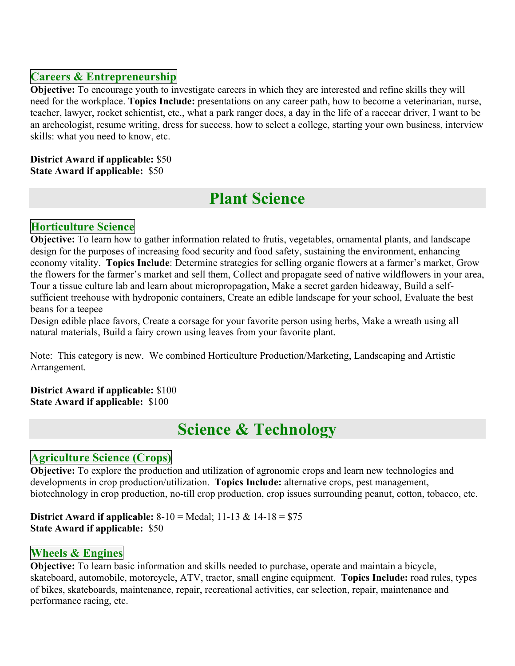#### **Careers & Entrepreneurship**

**Objective:** To encourage youth to investigate careers in which they are interested and refine skills they will need for the workplace. **Topics Include:** presentations on any career path, how to become a veterinarian, nurse, teacher, lawyer, rocket schientist, etc., what a park ranger does, a day in the life of a racecar driver, I want to be an archeologist, resume writing, dress for success, how to select a college, starting your own business, interview skills: what you need to know, etc.

#### **District Award if applicable:** \$50 **State Award if applicable:** \$50

# **Plant Science**

#### **Horticulture Science**

**Objective:** To learn how to gather information related to frutis, vegetables, ornamental plants, and landscape design for the purposes of increasing food security and food safety, sustaining the environment, enhancing economy vitality. **Topics Include**: Determine strategies for selling organic flowers at a farmer's market, Grow the flowers for the farmer's market and sell them, Collect and propagate seed of native wildflowers in your area, Tour a tissue culture lab and learn about micropropagation, Make a secret garden hideaway, Build a selfsufficient treehouse with hydroponic containers, Create an edible landscape for your school, Evaluate the best beans for a teepee

Design edible place favors, Create a corsage for your favorite person using herbs, Make a wreath using all natural materials, Build a fairy crown using leaves from your favorite plant.

Note: This category is new. We combined Horticulture Production/Marketing, Landscaping and Artistic Arrangement.

**District Award if applicable:** \$100 **State Award if applicable:** \$100

# **Science & Technology**

#### **Agriculture Science (Crops)**

**Objective:** To explore the production and utilization of agronomic crops and learn new technologies and developments in crop production/utilization. **Topics Include:** alternative crops, pest management, biotechnology in crop production, no-till crop production, crop issues surrounding peanut, cotton, tobacco, etc.

**District Award if applicable:** 8-10 = Medal; 11-13 & 14-18 = \$75 **State Award if applicable:** \$50

#### **Wheels & Engines**

**Objective:** To learn basic information and skills needed to purchase, operate and maintain a bicycle, skateboard, automobile, motorcycle, ATV, tractor, small engine equipment. **Topics Include:** road rules, types of bikes, skateboards, maintenance, repair, recreational activities, car selection, repair, maintenance and performance racing, etc.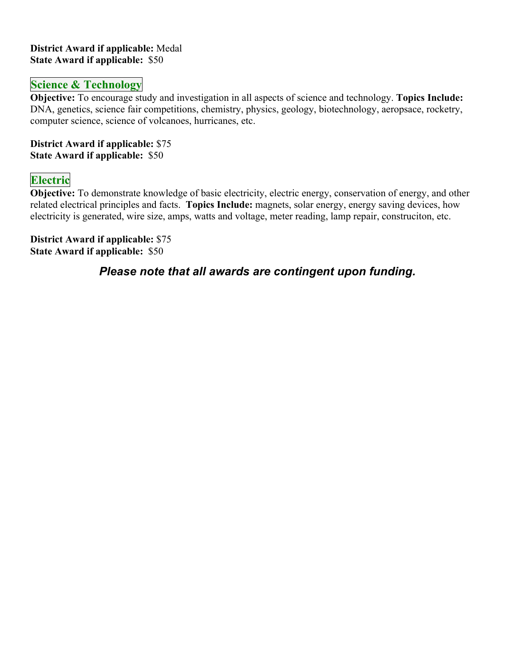#### **District Award if applicable:** Medal **State Award if applicable:** \$50

#### **Science & Technology**

**Objective:** To encourage study and investigation in all aspects of science and technology. **Topics Include:** DNA, genetics, science fair competitions, chemistry, physics, geology, biotechnology, aeropsace, rocketry, computer science, science of volcanoes, hurricanes, etc.

**District Award if applicable:** \$75 **State Award if applicable:** \$50

#### **Electric**

**Objective:** To demonstrate knowledge of basic electricity, electric energy, conservation of energy, and other related electrical principles and facts. **Topics Include:** magnets, solar energy, energy saving devices, how electricity is generated, wire size, amps, watts and voltage, meter reading, lamp repair, construciton, etc.

**District Award if applicable:** \$75 **State Award if applicable:** \$50

*Please note that all awards are contingent upon funding.*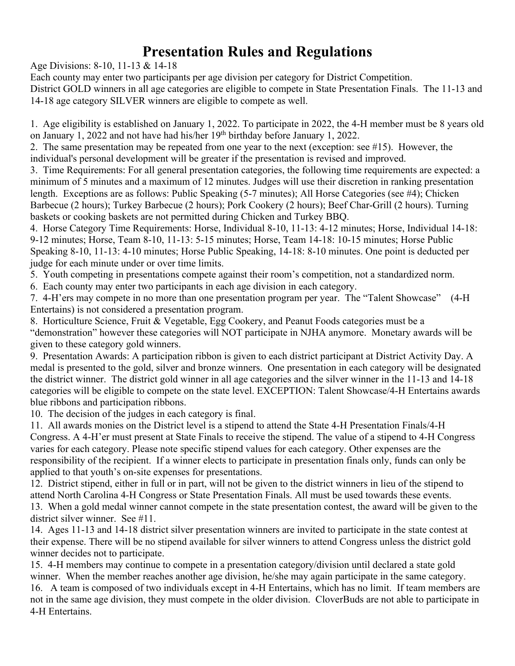# **Presentation Rules and Regulations**

Age Divisions: 8-10, 11-13 & 14-18

Each county may enter two participants per age division per category for District Competition. District GOLD winners in all age categories are eligible to compete in State Presentation Finals. The 11-13 and 14-18 age category SILVER winners are eligible to compete as well.

1. Age eligibility is established on January 1, 2022. To participate in 2022, the 4-H member must be 8 years old on January 1, 2022 and not have had his/her 19<sup>th</sup> birthday before January 1, 2022.

2. The same presentation may be repeated from one year to the next (exception: see #15). However, the individual's personal development will be greater if the presentation is revised and improved.

3. Time Requirements: For all general presentation categories, the following time requirements are expected: a minimum of 5 minutes and a maximum of 12 minutes. Judges will use their discretion in ranking presentation length. Exceptions are as follows: Public Speaking (5-7 minutes); All Horse Categories (see #4); Chicken Barbecue (2 hours); Turkey Barbecue (2 hours); Pork Cookery (2 hours); Beef Char-Grill (2 hours). Turning baskets or cooking baskets are not permitted during Chicken and Turkey BBQ.

4. Horse Category Time Requirements: Horse, Individual 8-10, 11-13: 4-12 minutes; Horse, Individual 14-18: 9-12 minutes; Horse, Team 8-10, 11-13: 5-15 minutes; Horse, Team 14-18: 10-15 minutes; Horse Public Speaking 8-10, 11-13: 4-10 minutes; Horse Public Speaking, 14-18: 8-10 minutes. One point is deducted per judge for each minute under or over time limits.

5. Youth competing in presentations compete against their room's competition, not a standardized norm.

6. Each county may enter two participants in each age division in each category.

7. 4-H'ers may compete in no more than one presentation program per year. The "Talent Showcase" (4-H Entertains) is not considered a presentation program.

8. Horticulture Science, Fruit & Vegetable, Egg Cookery, and Peanut Foods categories must be a "demonstration" however these categories will NOT participate in NJHA anymore. Monetary awards will be given to these category gold winners.

9. Presentation Awards: A participation ribbon is given to each district participant at District Activity Day. A medal is presented to the gold, silver and bronze winners. One presentation in each category will be designated the district winner. The district gold winner in all age categories and the silver winner in the 11-13 and 14-18 categories will be eligible to compete on the state level. EXCEPTION: Talent Showcase/4-H Entertains awards blue ribbons and participation ribbons.

10. The decision of the judges in each category is final.

11. All awards monies on the District level is a stipend to attend the State 4-H Presentation Finals/4-H Congress. A 4-H'er must present at State Finals to receive the stipend. The value of a stipend to 4-H Congress varies for each category. Please note specific stipend values for each category. Other expenses are the responsibility of the recipient. If a winner elects to participate in presentation finals only, funds can only be applied to that youth's on-site expenses for presentations.

12. District stipend, either in full or in part, will not be given to the district winners in lieu of the stipend to attend North Carolina 4-H Congress or State Presentation Finals. All must be used towards these events.

13. When a gold medal winner cannot compete in the state presentation contest, the award will be given to the district silver winner. See #11.

14. Ages 11-13 and 14-18 district silver presentation winners are invited to participate in the state contest at their expense. There will be no stipend available for silver winners to attend Congress unless the district gold winner decides not to participate.

15. 4-H members may continue to compete in a presentation category/division until declared a state gold winner. When the member reaches another age division, he/she may again participate in the same category.

16. A team is composed of two individuals except in 4-H Entertains, which has no limit. If team members are not in the same age division, they must compete in the older division. CloverBuds are not able to participate in 4-H Entertains.